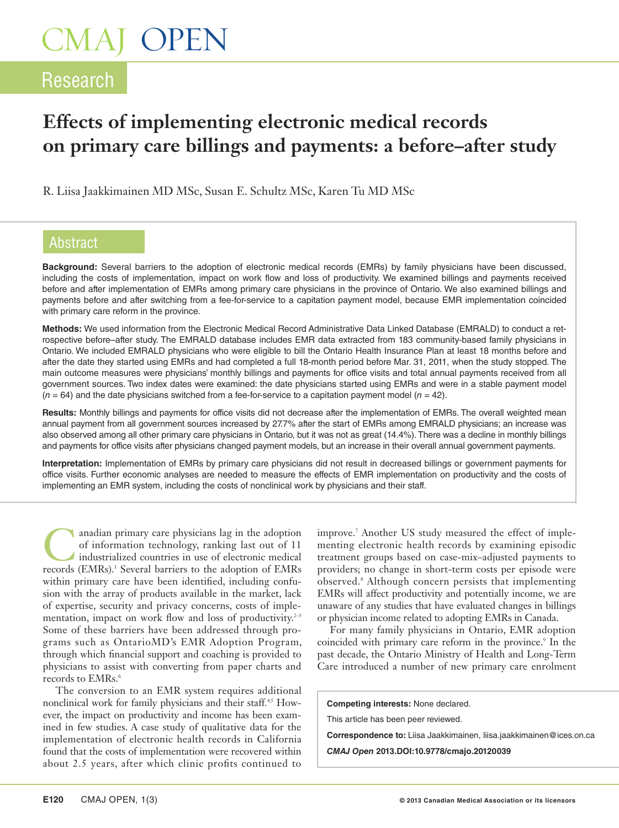# CMAJ OPEN

### Research

### **Effects of implementing electronic medical records on primary care billings and payments: a before–after study**

R. Liisa Jaakkimainen MD MSc, Susan E. Schultz MSc, Karen Tu MD MSc

#### Abstract

**Background:** Several barriers to the adoption of electronic medical records (EMRs) by family physicians have been discussed, including the costs of implementation, impact on work flow and loss of productivity. We examined billings and payments received before and after implementation of EMRs among primary care physicians in the province of Ontario. We also examined billings and payments before and after switching from a fee-for-service to a capitation payment model, because EMR implementation coincided with primary care reform in the province.

**Methods:** We used information from the Electronic Medical Record Administrative Data Linked Database (EMRALD) to conduct a retrospective before–after study. The EMRALD database includes EMR data extracted from 183 community-based family physicians in Ontario. We included EMRALD physicians who were eligible to bill the Ontario Health Insurance Plan at least 18 months before and after the date they started using EMRs and had completed a full 18-month period before Mar. 31, 2011, when the study stopped. The main outcome measures were physicians' monthly billings and payments for office visits and total annual payments received from all government sources. Two index dates were examined: the date physicians started using EMRs and were in a stable payment model (*n* = 64) and the date physicians switched from a fee-for-service to a capitation payment model (*n* = 42).

**Results:** Monthly billings and payments for office visits did not decrease after the implementation of EMRs. The overall weighted mean annual payment from all government sources increased by 27.7% after the start of EMRs among EMRALD physicians; an increase was also observed among all other primary care physicians in Ontario, but it was not as great (14.4%). There was a decline in monthly billings and payments for office visits after physicians changed payment models, but an increase in their overall annual government payments.

**Interpretation:** Implementation of EMRs by primary care physicians did not result in decreased billings or government payments for office visits. Further economic analyses are needed to measure the effects of EMR implementation on productivity and the costs of implementing an EMR system, including the costs of nonclinical work by physicians and their staff.

anadian primary care physicians lag in the adoption of information technology, ranking last out of 11 industrialized countries in use of electronic medical records (EMRs).<sup>1</sup> Several barriers to the adoption of EMRs within primary care have been identified, including confusion with the array of products available in the market, lack of expertise, security and privacy concerns, costs of implementation, impact on work flow and loss of productivity. $2-5$ Some of these barriers have been addressed through programs such as OntarioMD's EMR Adoption Program, through which financial support and coaching is provided to physicians to assist with converting from paper charts and records to EMRs.<sup>6</sup>

The conversion to an EMR system requires additional nonclinical work for family physicians and their staff.<sup>4,5</sup> However, the impact on productivity and income has been examined in few studies. A case study of qualitative data for the implementation of electronic health records in California found that the costs of implementation were recovered within about 2.5 years, after which clinic profits continued to

improve.7 Another US study measured the effect of implementing electronic health records by examining episodic treatment groups based on case-mix–adjusted payments to providers; no change in short-term costs per episode were observed.8 Although concern persists that implementing EMRs will affect productivity and potentially income, we are unaware of any studies that have evaluated changes in billings or physician income related to adopting EMRs in Canada.

For many family physicians in Ontario, EMR adoption coincided with primary care reform in the province.<sup>9</sup> In the past decade, the Ontario Ministry of Health and Long-Term Care introduced a number of new primary care enrolment

**Competing interests:** None declared.

This article has been peer reviewed.

**Correspondence to:** Liisa Jaakkimainen, liisa.jaakkimainen@ices.on.ca

*CMAJ Open* **2013.DOI:10.9778/cmajo.20120039**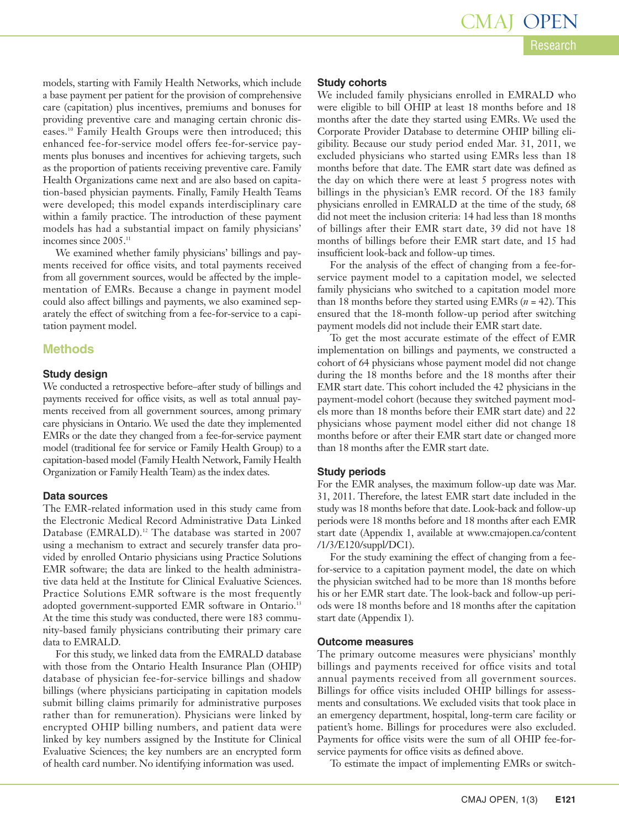models, starting with Family Health Networks, which include a base payment per patient for the provision of comprehensive care (capitation) plus incentives, premiums and bonuses for providing preventive care and managing certain chronic diseases.10 Family Health Groups were then introduced; this enhanced fee-for-service model offers fee-for-service payments plus bonuses and incentives for achieving targets, such as the proportion of patients receiving preventive care. Family Health Organizations came next and are also based on capitation-based physician payments. Finally, Family Health Teams were developed; this model expands interdisciplinary care within a family practice. The introduction of these payment models has had a substantial impact on family physicians' incomes since 2005.<sup>11</sup>

We examined whether family physicians' billings and payments received for office visits, and total payments received from all government sources, would be affected by the implementation of EMRs. Because a change in payment model could also affect billings and payments, we also examined separately the effect of switching from a fee-for-service to a capitation payment model.

#### **Methods**

#### **Study design**

We conducted a retrospective before–after study of billings and payments received for office visits, as well as total annual payments received from all government sources, among primary care physicians in Ontario. We used the date they implemented EMRs or the date they changed from a fee-for-service payment model (traditional fee for service or Family Health Group) to a capitation-based model (Family Health Network, Family Health Organization or Family Health Team) as the index dates.

#### **Data sources**

The EMR-related information used in this study came from the Electronic Medical Record Administrative Data Linked Database (EMRALD).<sup>12</sup> The database was started in 2007 using a mechanism to extract and securely transfer data provided by enrolled Ontario physicians using Practice Solutions EMR software; the data are linked to the health administrative data held at the Institute for Clinical Evaluative Sciences. Practice Solutions EMR software is the most frequently adopted government-supported EMR software in Ontario.<sup>13</sup> At the time this study was conducted, there were 183 community-based family physicians contributing their primary care data to EMRALD.

For this study, we linked data from the EMRALD database with those from the Ontario Health Insurance Plan (OHIP) database of physician fee-for-service billings and shadow billings (where physicians participating in capitation models submit billing claims primarily for administrative purposes rather than for remuneration). Physicians were linked by encrypted OHIP billing numbers, and patient data were linked by key numbers assigned by the Institute for Clinical Evaluative Sciences; the key numbers are an encrypted form of health card number. No identifying information was used.

#### **Study cohorts**

We included family physicians enrolled in EMRALD who were eligible to bill OHIP at least 18 months before and 18 months after the date they started using EMRs. We used the Corporate Provider Database to determine OHIP billing eligibility. Because our study period ended Mar. 31, 2011, we excluded physicians who started using EMRs less than 18 months before that date. The EMR start date was defined as the day on which there were at least 5 progress notes with billings in the physician's EMR record. Of the 183 family physicians enrolled in EMRALD at the time of the study, 68 did not meet the inclusion criteria: 14 had less than 18 months of billings after their EMR start date, 39 did not have 18 months of billings before their EMR start date, and 15 had insufficient look-back and follow-up times.

For the analysis of the effect of changing from a fee-forservice payment model to a capitation model, we selected family physicians who switched to a capitation model more than 18 months before they started using EMRs (*n* = 42). This ensured that the 18-month follow-up period after switching payment models did not include their EMR start date.

To get the most accurate estimate of the effect of EMR implementation on billings and payments, we constructed a cohort of 64 physicians whose payment model did not change during the 18 months before and the 18 months after their EMR start date. This cohort included the 42 physicians in the payment-model cohort (because they switched payment models more than 18 months before their EMR start date) and 22 physicians whose payment model either did not change 18 months before or after their EMR start date or changed more than 18 months after the EMR start date.

#### **Study periods**

For the EMR analyses, the maximum follow-up date was Mar. 31, 2011. Therefore, the latest EMR start date included in the study was 18 months before that date. Look-back and follow-up periods were 18 months before and 18 months after each EMR start date (Appendix 1, available at www.cmajopen.ca /content /1/3/E120/suppl/DC1).

For the study examining the effect of changing from a feefor-service to a capitation payment model, the date on which the physician switched had to be more than 18 months before his or her EMR start date. The look-back and follow-up periods were 18 months before and 18 months after the capitation start date (Appendix 1).

#### **Outcome measures**

The primary outcome measures were physicians' monthly billings and payments received for office visits and total annual payments received from all government sources. Billings for office visits included OHIP billings for assessments and consultations. We excluded visits that took place in an emergency department, hospital, long-term care facility or patient's home. Billings for procedures were also excluded. Payments for office visits were the sum of all OHIP fee-forservice payments for office visits as defined above.

To estimate the impact of implementing EMRs or switch-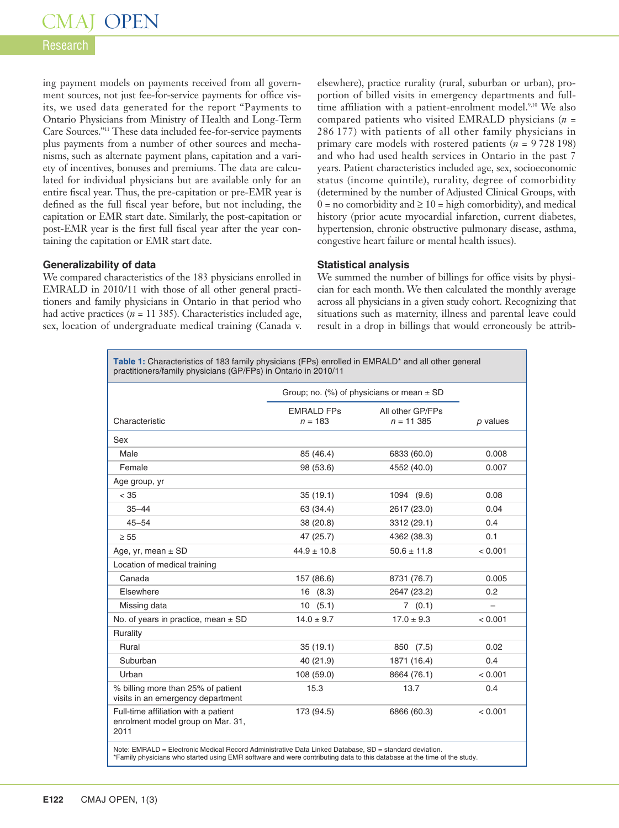# CMAJ OPEN

#### Research

ing payment models on payments received from all government sources, not just fee-for-service payments for office visits, we used data generated for the report "Payments to Ontario Physicians from Ministry of Health and Long-Term Care Sources."11 These data included fee-for-service payments plus payments from a number of other sources and mechanisms, such as alternate payment plans, capitation and a variety of incentives, bonuses and premiums. The data are calculated for individual physicians but are available only for an entire fiscal year. Thus, the pre-capitation or pre-EMR year is defined as the full fiscal year before, but not including, the capitation or EMR start date. Similarly, the post-capitation or post-EMR year is the first full fiscal year after the year containing the capitation or EMR start date.

#### **Generalizability of data**

We compared characteristics of the 183 physicians enrolled in EMRALD in 2010/11 with those of all other general practitioners and family physicians in Ontario in that period who had active practices  $(n = 11\,385)$ . Characteristics included age, sex, location of undergraduate medical training (Canada v.

elsewhere), practice rurality (rural, suburban or urban), proportion of billed visits in emergency departments and fulltime affiliation with a patient-enrolment model.<sup>9,10</sup> We also compared patients who visited EMRALD physicians (*n* = 286 177) with patients of all other family physicians in primary care models with rostered patients (*n* = 9 728 198) and who had used health services in Ontario in the past 7 years. Patient characteristics included age, sex, socioeconomic status (income quintile), rurality, degree of comorbidity (determined by the number of Adjusted Clinical Groups, with  $0 =$  no comorbidity and  $\ge 10 =$  high comorbidity), and medical history (prior acute myocardial infarction, current diabetes, hypertension, chronic obstructive pulmonary disease, asthma, congestive heart failure or mental health issues).

#### **Statistical analysis**

We summed the number of billings for office visits by physician for each month. We then calculated the monthly average across all physicians in a given study cohort. Recognizing that situations such as maternity, illness and parental leave could result in a drop in billings that would erroneously be attrib-

Table 1: Characteristics of 183 family physicians (FPs) enrolled in EMRALD<sup>\*</sup> and all other general practitioners/family physicians (GP/FPs) in Ontario in 2010/11

|                                                                                   | Group; no. (%) of physicians or mean $\pm$ SD |                                  |            |
|-----------------------------------------------------------------------------------|-----------------------------------------------|----------------------------------|------------|
| Characteristic                                                                    | <b>FMRAID FPS</b><br>$n = 183$                | All other GP/FPs<br>$n = 11,385$ | $p$ values |
| Sex                                                                               |                                               |                                  |            |
| Male                                                                              | 85 (46.4)                                     | 6833 (60.0)                      | 0.008      |
| Female                                                                            | 98 (53.6)                                     | 4552 (40.0)                      | 0.007      |
| Age group, yr                                                                     |                                               |                                  |            |
| < 35                                                                              | 35(19.1)                                      | 1094 (9.6)                       | 0.08       |
| $35 - 44$                                                                         | 63 (34.4)                                     | 2617 (23.0)                      | 0.04       |
| $45 - 54$                                                                         | 38(20.8)                                      | 3312 (29.1)                      | 0.4        |
| $\geq 55$                                                                         | 47 (25.7)                                     | 4362 (38.3)                      | 0.1        |
| Age, yr, mean $\pm$ SD                                                            | $44.9 \pm 10.8$                               | $50.6 \pm 11.8$                  | < 0.001    |
| Location of medical training                                                      |                                               |                                  |            |
| Canada                                                                            | 157 (86.6)                                    | 8731 (76.7)                      | 0.005      |
| Flsewhere                                                                         | 16(8.3)                                       | 2647 (23.2)                      | 0.2        |
| Missing data                                                                      | 10(5.1)                                       | 7(0.1)                           | $\equiv$   |
| No. of years in practice, mean $\pm$ SD                                           | $14.0 \pm 9.7$                                | $17.0 \pm 9.3$                   | < 0.001    |
| Rurality                                                                          |                                               |                                  |            |
| Rural                                                                             | 35(19.1)                                      | 850 (7.5)                        | 0.02       |
| Suburban                                                                          | 40 (21.9)                                     | 1871 (16.4)                      | 0.4        |
| Urban                                                                             | 108 (59.0)                                    | 8664 (76.1)                      | < 0.001    |
| % billing more than 25% of patient<br>visits in an emergency department           | 15.3                                          | 13.7                             | 0.4        |
| Full-time affiliation with a patient<br>enrolment model group on Mar. 31,<br>2011 | 173 (94.5)                                    | 6866 (60.3)                      | < 0.001    |

Note: EMRALD = Electronic Medical Record Administrative Data Linked Database, SD = standard deviation. \*Family physicians who started using EMR software and were contributing data to this database at the time of the study.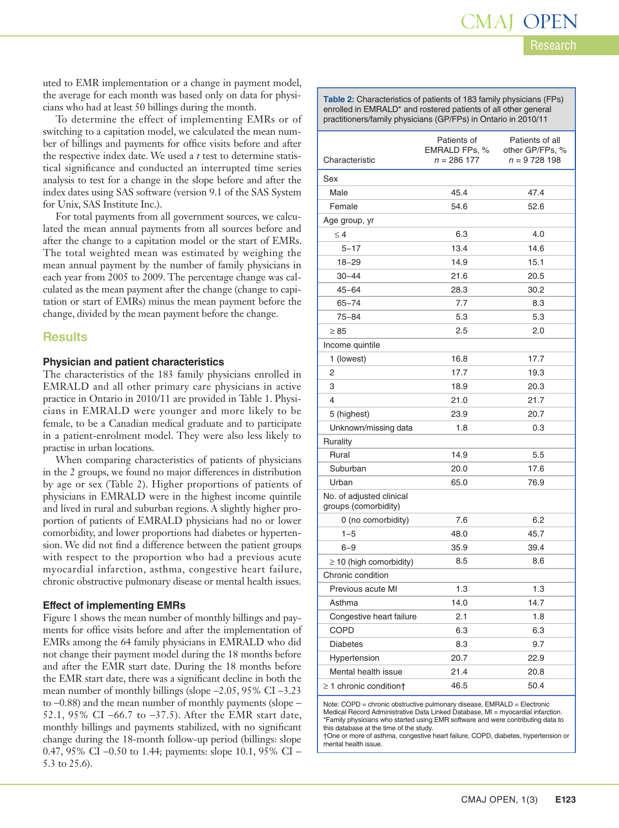uted to EMR implementation or a change in payment model, the average for each month was based only on data for physicians who had at least 50 billings during the month.

To determine the effect of implementing EMRs or of switching to a capitation model, we calculated the mean number of billings and payments for office visits before and after the respective index date. We used a *t* test to determine statistical significance and conducted an interrupted time series analysis to test for a change in the slope before and after the index dates using SAS software (version 9.1 of the SAS System for Unix, SAS Institute Inc.).

For total payments from all government sources, we calculated the mean annual payments from all sources before and after the change to a capitation model or the start of EMRs. The total weighted mean was estimated by weighing the mean annual payment by the number of family physicians in each year from 2005 to 2009. The percentage change was calculated as the mean payment after the change (change to capitation or start of EMRs) minus the mean payment before the change, divided by the mean payment before the change.

#### **Results**

#### **Physician and patient characteristics**

The characteristics of the 183 family physicians enrolled in EMRALD and all other primary care physicians in active practice in Ontario in 2010/11 are provided in Table 1. Physicians in EMRALD were younger and more likely to be female, to be a Canadian medical graduate and to participate in a patient-enrolment model. They were also less likely to practise in urban locations.

When comparing characteristics of patients of physicians in the 2 groups, we found no major differences in distribution by age or sex (Table 2). Higher proportions of patients of physicians in EMRALD were in the highest income quintile and lived in rural and suburban regions. A slightly higher proportion of patients of EMRALD physicians had no or lower comorbidity, and lower proportions had diabetes or hypertension. We did not find a difference between the patient groups with respect to the proportion who had a previous acute myocardial infarction, asthma, congestive heart failure, chronic obstructive pulmonary disease or mental health issues.

#### **Effect of implementing EMRs**

Figure 1 shows the mean number of monthly billings and payments for office visits before and after the implementation of EMRs among the 64 family physicians in EMRALD who did not change their payment model during the 18 months before and after the EMR start date. During the 18 months before the EMR start date, there was a significant decline in both the mean number of monthly billings (slope −2.05, 95% CI −3.23 to −0.88) and the mean number of monthly payments (slope − 52.1, 95% CI −66.7 to −37.5). After the EMR start date, monthly billings and payments stabilized, with no significant change during the 18-month follow-up period (billings: slope 0.47, 95% CI –0.50 to 1.44; payments: slope 10.1, 95% CI – 5.3 to 25.6).

**Table 2:** Characteristics of patients of 183 family physicians (FPs) enrolled in EMRALD\* and rostered patients of all other general practitioners/family physicians (GP/FPs) in Ontario in 2010/11

|                                                  | Patients of                    | Patients of all                  |
|--------------------------------------------------|--------------------------------|----------------------------------|
| Characteristic                                   | EMRALD FPs, %<br>$n = 286$ 177 | other GP/FPs, %<br>$n = 9728198$ |
| Sex                                              |                                |                                  |
| Male                                             | 45.4                           | 47.4                             |
| Female                                           | 54.6                           | 52.6                             |
| Age group, yr                                    |                                |                                  |
| $\leq 4$                                         | 6.3                            | 4.0                              |
| $5 - 17$                                         | 13.4                           | 14.6                             |
| $18 - 29$                                        | 14.9                           | 15.1                             |
| $30 - 44$                                        | 21.6                           | 20.5                             |
| $45 - 64$                                        | 28.3                           | 30.2                             |
| $65 - 74$                                        | 7.7                            | 8.3                              |
| $75 - 84$                                        | 5.3                            | 5.3                              |
| $\geq 85$                                        | 2.5                            | 2.0                              |
| Income quintile                                  |                                |                                  |
| 1 (lowest)                                       | 16.8                           | 17.7                             |
| 2                                                | 17.7                           | 19.3                             |
| 3                                                | 18.9                           | 20.3                             |
| 4                                                | 21.0                           | 21.7                             |
| 5 (highest)                                      | 23.9                           | 20.7                             |
| Unknown/missing data                             | 1.8                            | 0.3                              |
| Rurality                                         |                                |                                  |
| Rural                                            | 14.9                           | 5.5                              |
| Suburban                                         | 20.0                           | 17.6                             |
| Urban                                            | 65.0                           | 76.9                             |
| No. of adjusted clinical<br>groups (comorbidity) |                                |                                  |
| 0 (no comorbidity)                               | 7.6                            | 6.2                              |
| $1 - 5$                                          | 48.0                           | 45.7                             |
| $6 - 9$                                          | 35.9                           | 39.4                             |
| $\geq$ 10 (high comorbidity)                     | 8.5                            | 8.6                              |
| Chronic condition                                |                                |                                  |
| Previous acute MI                                | 1.3                            | 1.3                              |
| Asthma                                           | 14.0                           | 14.7                             |
| Congestive heart failure                         | 2.1                            | 1.8                              |
| COPD                                             | 6.3                            | 6.3                              |
| <b>Diabetes</b>                                  | 8.3                            | 9.7                              |
| Hypertension                                     | 20.7                           | 22.9                             |
| Mental health issue                              | 21.4                           | 20.8                             |
| $\geq$ 1 chronic condition†                      | 46.5                           | 50.4                             |

Note: COPD = chronic obstructive pulmonary disease, EMRALD = Electronic Medical Record Administrative Data Linked Database, MI = myocardial infarction. \*Family physicians who started using EMR software and were contributing data to this database at the time of the study.

†One or more of asthma, congestive heart failure, COPD, diabetes, hypertension or mental health issue.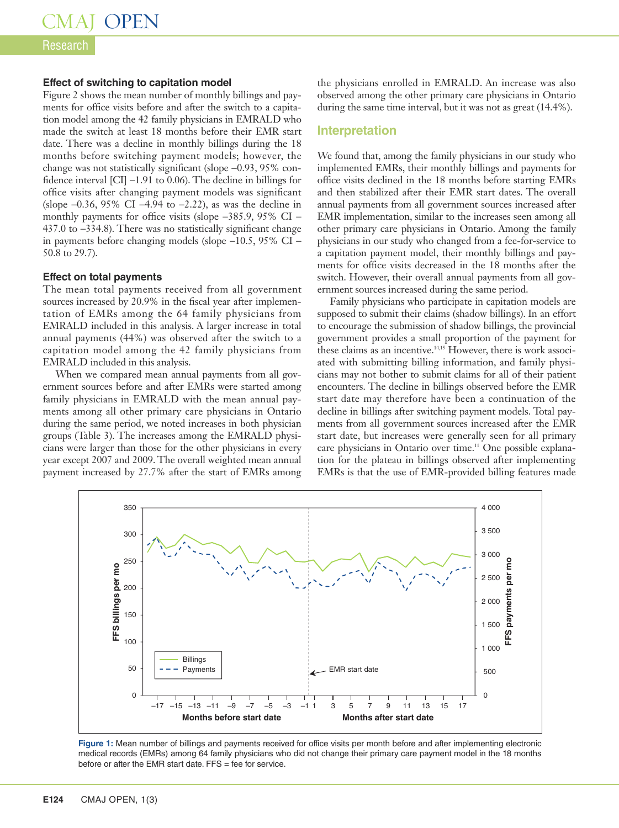#### Research

#### **Effect of switching to capitation model**

Figure 2 shows the mean number of monthly billings and payments for office visits before and after the switch to a capitation model among the 42 family physicians in EMRALD who made the switch at least 18 months before their EMR start date. There was a decline in monthly billings during the 18 months before switching payment models; however, the change was not statistically significant (slope −0.93, 95% confidence interval [CI] −1.91 to 0.06). The decline in billings for office visits after changing payment models was significant (slope −0.36, 95% CI −4.94 to −2.22), as was the decline in monthly payments for office visits (slope −385.9, 95% CI − 437.0 to −334.8). There was no statistically significant change in payments before changing models (slope −10.5, 95% CI − 50.8 to 29.7).

#### **Effect on total payments**

The mean total payments received from all government sources increased by 20.9% in the fiscal year after implementation of EMRs among the 64 family physicians from EMRALD included in this analysis. A larger increase in total annual payments (44%) was observed after the switch to a capitation model among the 42 family physicians from EMRALD included in this analysis.

When we compared mean annual payments from all government sources before and after EMRs were started among family physicians in EMRALD with the mean annual payments among all other primary care physicians in Ontario during the same period, we noted increases in both physician groups (Table 3). The increases among the EMRALD physicians were larger than those for the other physicians in every year except 2007 and 2009. The overall weighted mean annual payment increased by 27.7% after the start of EMRs among the physicians enrolled in EMRALD. An increase was also observed among the other primary care physicians in Ontario during the same time interval, but it was not as great (14.4%).

#### **Interpretation**

We found that, among the family physicians in our study who implemented EMRs, their monthly billings and payments for office visits declined in the 18 months before starting EMRs and then stabilized after their EMR start dates. The overall annual payments from all government sources increased after EMR implementation, similar to the increases seen among all other primary care physicians in Ontario. Among the family physicians in our study who changed from a fee-for-service to a capitation payment model, their monthly billings and payments for office visits decreased in the 18 months after the switch. However, their overall annual payments from all government sources increased during the same period.

Family physicians who participate in capitation models are supposed to submit their claims (shadow billings). In an effort to encourage the submission of shadow billings, the provincial government provides a small proportion of the payment for these claims as an incentive.14,15 However, there is work associated with submitting billing information, and family physicians may not bother to submit claims for all of their patient encounters. The decline in billings observed before the EMR start date may therefore have been a continuation of the decline in billings after switching payment models. Total payments from all government sources increased after the EMR start date, but increases were generally seen for all primary care physicians in Ontario over time.<sup>11</sup> One possible explanation for the plateau in billings observed after implementing EMRs is that the use of EMR-provided billing features made



**Figure 1:** Mean number of billings and payments received for office visits per month before and after implementing electronic medical records (EMRs) among 64 family physicians who did not change their primary care payment model in the 18 months before or after the EMR start date.  $FFS =$  fee for service.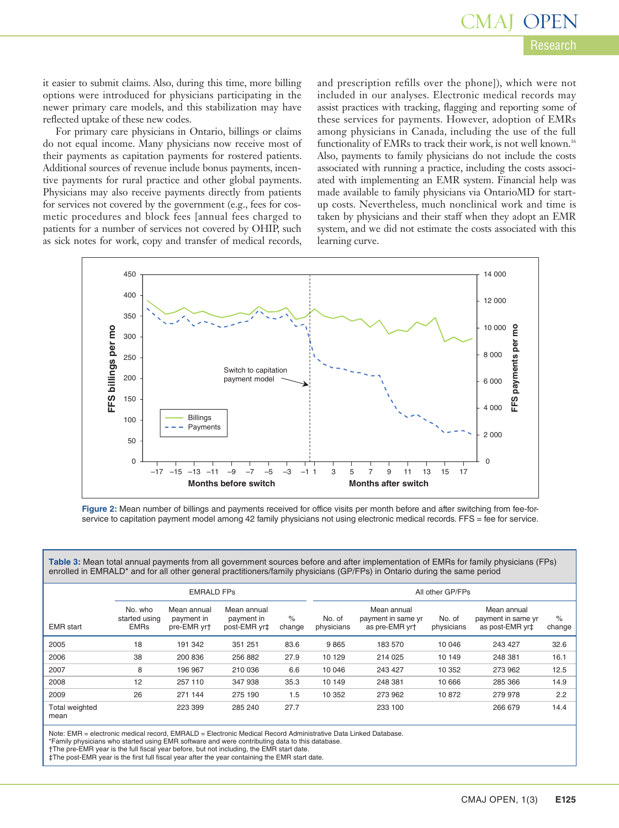it easier to submit claims. Also, during this time, more billing options were introduced for physicians participating in the newer primary care models, and this stabilization may have reflected uptake of these new codes.

For primary care physicians in Ontario, billings or claims do not equal income. Many physicians now receive most of their payments as capitation payments for rostered patients. Additional sources of revenue include bonus payments, incentive payments for rural practice and other global payments. Physicians may also receive payments directly from patients for services not covered by the government (e.g., fees for cosmetic procedures and block fees [annual fees charged to patients for a number of services not covered by OHIP, such as sick notes for work, copy and transfer of medical records, and prescription refills over the phone]), which were not included in our analyses. Electronic medical records may assist practices with tracking, flagging and reporting some of these services for payments. However, adoption of EMRs among physicians in Canada, including the use of the full functionality of EMRs to track their work, is not well known.<sup>16</sup> Also, payments to family physicians do not include the costs associated with running a practice, including the costs associated with implementing an EMR system. Financial help was made available to family physicians via OntarioMD for startup costs. Nevertheless, much nonclinical work and time is taken by physicians and their staff when they adopt an EMR system, and we did not estimate the costs associated with this learning curve.



**Figure 2:** Mean number of billings and payments received for office visits per month before and after switching from fee-forservice to capitation payment model among 42 family physicians not using electronic medical records. FFS = fee for service.

**Table 3:** Mean total annual payments from all government sources before and after implementation of EMRs for family physicians (FPs) enrolled in EMRALD\* and for all other general practitioners/family physicians (GP/FPs) in Ontario during the same period

|                               | <b>EMRALD FPS</b>                       |                                          |                                           |                | All other GP/FPs     |                                                     |                      |                                                                  |                |
|-------------------------------|-----------------------------------------|------------------------------------------|-------------------------------------------|----------------|----------------------|-----------------------------------------------------|----------------------|------------------------------------------------------------------|----------------|
| <b>EMR</b> start              | No. who<br>started using<br><b>EMRs</b> | Mean annual<br>payment in<br>pre-EMR yr+ | Mean annual<br>payment in<br>post-EMR yr‡ | $\%$<br>change | No. of<br>physicians | Mean annual<br>payment in same yr<br>as pre-EMR yrt | No. of<br>physicians | Mean annual<br>payment in same yr<br>as post-EMR yr <sup>+</sup> | $\%$<br>change |
| 2005                          | 18                                      | 191 342                                  | 351 251                                   | 83.6           | 9865                 | 183 570                                             | 10 046               | 243 427                                                          | 32.6           |
| 2006                          | 38                                      | 200 836                                  | 256 882                                   | 27.9           | 10 129               | 214 025                                             | 10 149               | 248 381                                                          | 16.1           |
| 2007                          | 8                                       | 196 967                                  | 210 036                                   | 6.6            | 10 046               | 243 427                                             | 10 352               | 273 962                                                          | 12.5           |
| 2008                          | 12                                      | 257 110                                  | 347 938                                   | 35.3           | 10 149               | 248 381                                             | 10 666               | 285 366                                                          | 14.9           |
| 2009                          | 26                                      | 271 144                                  | 275 190                                   | 1.5            | 10 352               | 273 962                                             | 10872                | 279 978                                                          | 2.2            |
| <b>Total weighted</b><br>mean |                                         | 223 399                                  | 285 240                                   | 27.7           |                      | 233 100                                             |                      | 266 679                                                          | 14.4           |

Note: EMR = electronic medical record, EMRALD = Electronic Medical Record Administrative Data Linked Database

\*Family physicians who started using EMR software and were contributing data to this database.

†The pre-EMR year is the full fiscal year before, but not including, the EMR start date.

‡The post-EMR year is the first full fiscal year after the year containing the EMR start date.